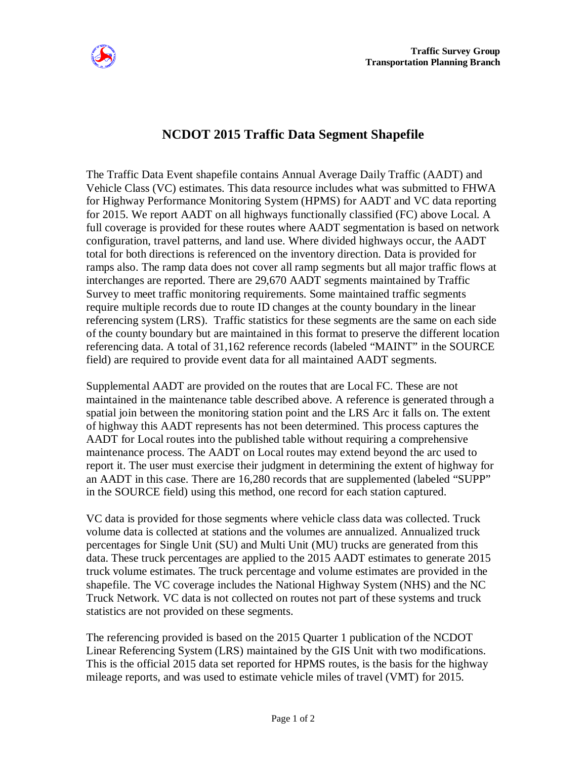

## **NCDOT 2015 Traffic Data Segment Shapefile**

The Traffic Data Event shapefile contains Annual Average Daily Traffic (AADT) and Vehicle Class (VC) estimates. This data resource includes what was submitted to FHWA for Highway Performance Monitoring System (HPMS) for AADT and VC data reporting for 2015. We report AADT on all highways functionally classified (FC) above Local. A full coverage is provided for these routes where AADT segmentation is based on network configuration, travel patterns, and land use. Where divided highways occur, the AADT total for both directions is referenced on the inventory direction. Data is provided for ramps also. The ramp data does not cover all ramp segments but all major traffic flows at interchanges are reported. There are 29,670 AADT segments maintained by Traffic Survey to meet traffic monitoring requirements. Some maintained traffic segments require multiple records due to route ID changes at the county boundary in the linear referencing system (LRS). Traffic statistics for these segments are the same on each side of the county boundary but are maintained in this format to preserve the different location referencing data. A total of 31,162 reference records (labeled "MAINT" in the SOURCE field) are required to provide event data for all maintained AADT segments.

Supplemental AADT are provided on the routes that are Local FC. These are not maintained in the maintenance table described above. A reference is generated through a spatial join between the monitoring station point and the LRS Arc it falls on. The extent of highway this AADT represents has not been determined. This process captures the AADT for Local routes into the published table without requiring a comprehensive maintenance process. The AADT on Local routes may extend beyond the arc used to report it. The user must exercise their judgment in determining the extent of highway for an AADT in this case. There are 16,280 records that are supplemented (labeled "SUPP" in the SOURCE field) using this method, one record for each station captured.

VC data is provided for those segments where vehicle class data was collected. Truck volume data is collected at stations and the volumes are annualized. Annualized truck percentages for Single Unit (SU) and Multi Unit (MU) trucks are generated from this data. These truck percentages are applied to the 2015 AADT estimates to generate 2015 truck volume estimates. The truck percentage and volume estimates are provided in the shapefile. The VC coverage includes the National Highway System (NHS) and the NC Truck Network. VC data is not collected on routes not part of these systems and truck statistics are not provided on these segments.

The referencing provided is based on the 2015 Quarter 1 publication of the NCDOT Linear Referencing System (LRS) maintained by the GIS Unit with two modifications. This is the official 2015 data set reported for HPMS routes, is the basis for the highway mileage reports, and was used to estimate vehicle miles of travel (VMT) for 2015.